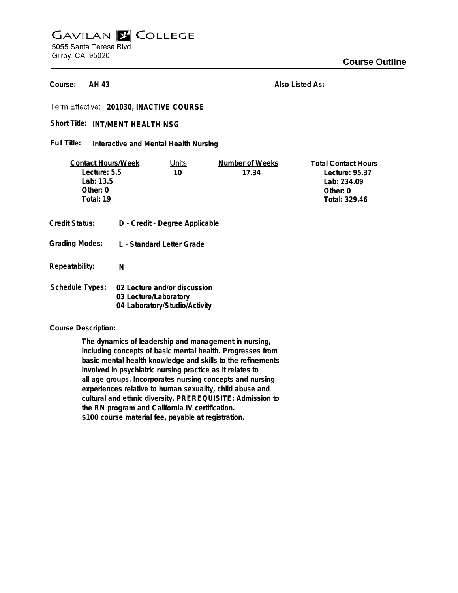# **GAVILAN E COLLEGE** 5055 Santa Teresa Blvd Gilroy, CA 95020

**AH 43 Course:**

**Also Listed As:**

**201030, INACTIVE COURSE**

## Short Title: INT/MENT HEALTH NSG

**Interactive and Mental Health Nursing Full Title:**

| <b>Contact Hours/Week</b> |                       | Units                          | Number of Weeks | <b>Total Contact Hours</b> |
|---------------------------|-----------------------|--------------------------------|-----------------|----------------------------|
| Lecture: 5.5              |                       | 10                             | 17.34           | Lecture: 95.37             |
| Lab: 13.5                 |                       |                                |                 | Lab: 234.09                |
| Other: 0                  |                       |                                |                 | Other: $0$                 |
| Total: 19                 |                       |                                |                 | Total: 329.46              |
|                           |                       |                                |                 |                            |
| Credit Status:            |                       | D - Credit - Degree Applicable |                 |                            |
|                           |                       |                                |                 |                            |
| <b>Grading Modes:</b>     |                       | L - Standard Letter Grade      |                 |                            |
|                           |                       |                                |                 |                            |
| Repeatability:            | N                     |                                |                 |                            |
|                           |                       |                                |                 |                            |
| <b>Schedule Types:</b>    |                       | 02 Lecture and/or discussion   |                 |                            |
|                           | 03 Lecture/Laboratory |                                |                 |                            |
|                           |                       | 04 Laboratory/Studio/Activity  |                 |                            |

#### **Course Description:**

**The dynamics of leadership and management in nursing, including concepts of basic mental health. Progresses from basic mental health knowledge and skills to the refinements involved in psychiatric nursing practice as it relates to all age groups. Incorporates nursing concepts and nursing experiences relative to human sexuality, child abuse and cultural and ethnic diversity. PREREQUISITE: Admission to the RN program and California IV certification. \$100 course material fee, payable at registration.**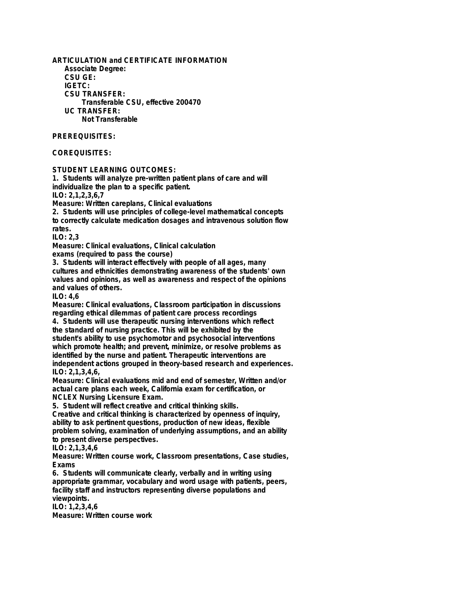**ARTICULATION and CERTIFICATE INFORMATION Associate Degree: CSU GE: IGETC: CSU TRANSFER: Transferable CSU, effective 200470 UC TRANSFER: Not Transferable**

# **PREREQUISITES:**

### **COREQUISITES:**

**STUDENT LEARNING OUTCOMES:**

**1. Students will analyze pre-written patient plans of care and will individualize the plan to a specific patient.**

**ILO: 2,1,2,3,6,7**

**Measure: Written careplans, Clinical evaluations**

**2. Students will use principles of college-level mathematical concepts to correctly calculate medication dosages and intravenous solution flow rates.**

**ILO: 2,3**

**Measure: Clinical evaluations, Clinical calculation**

**exams (required to pass the course)**

**3. Students will interact effectively with people of all ages, many cultures and ethnicities demonstrating awareness of the students' own values and opinions, as well as awareness and respect of the opinions and values of others.**

**ILO: 4,6**

**Measure: Clinical evaluations, Classroom participation in discussions regarding ethical dilemmas of patient care process recordings**

**4. Students will use therapeutic nursing interventions which reflect the standard of nursing practice. This will be exhibited by the student's ability to use psychomotor and psychosocial interventions which promote health; and prevent, minimize, or resolve problems as identified by the nurse and patient. Therapeutic interventions are independent actions grouped in theory-based research and experiences. ILO: 2,1,3,4,6,**

**Measure: Clinical evaluations mid and end of semester, Written and/or actual care plans each week, California exam for certification, or NCLEX Nursing Licensure Exam.**

**5. Student will reflect creative and critical thinking skills.**

**Creative and critical thinking is characterized by openness of inquiry, ability to ask pertinent questions, production of new ideas, flexible problem solving, examination of underlying assumptions, and an ability to present diverse perspectives.**

**ILO: 2,1,3,4,6**

**Measure: Written course work, Classroom presentations, Case studies, Exams**

**6. Students will communicate clearly, verbally and in writing using appropriate grammar, vocabulary and word usage with patients, peers, facility staff and instructors representing diverse populations and viewpoints.**

**ILO: 1,2,3,4,6 Measure: Written course work**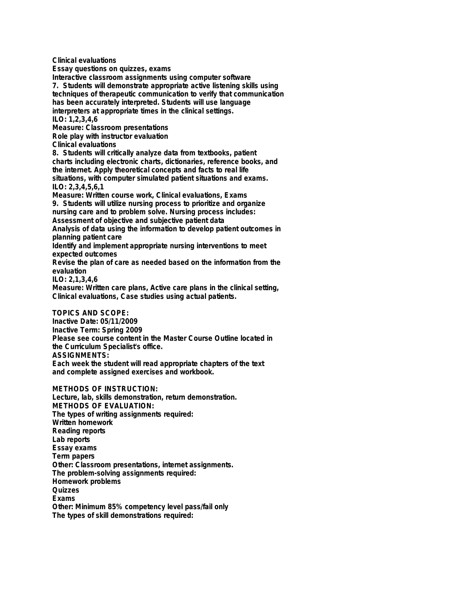**Clinical evaluations Essay questions on quizzes, exams Interactive classroom assignments using computer software 7. Students will demonstrate appropriate active listening skills using techniques of therapeutic communication to verify that communication has been accurately interpreted. Students will use language interpreters at appropriate times in the clinical settings. ILO: 1,2,3,4,6 Measure: Classroom presentations Role play with instructor evaluation Clinical evaluations 8. Students will critically analyze data from textbooks, patient charts including electronic charts, dictionaries, reference books, and the internet. Apply theoretical concepts and facts to real life situations, with computer simulated patient situations and exams. ILO: 2,3,4,5,6,1 Measure: Written course work, Clinical evaluations, Exams 9. Students will utilize nursing process to prioritize and organize nursing care and to problem solve. Nursing process includes: Assessment of objective and subjective patient data Analysis of data using the information to develop patient outcomes in planning patient care Identify and implement appropriate nursing interventions to meet expected outcomes Revise the plan of care as needed based on the information from the evaluation ILO: 2,1,3,4,6 Measure: Written care plans, Active care plans in the clinical setting, Clinical evaluations, Case studies using actual patients. TOPICS AND SCOPE: Inactive Date: 05/11/2009 Inactive Term: Spring 2009 Please see course content in the Master Course Outline located in the Curriculum Specialist's office.**

**ASSIGNMENTS:**

**Each week the student will read appropriate chapters of the text and complete assigned exercises and workbook.**

**METHODS OF INSTRUCTION:**

**Lecture, lab, skills demonstration, return demonstration. METHODS OF EVALUATION: The types of writing assignments required: Written homework Reading reports Lab reports Essay exams Term papers Other: Classroom presentations, internet assignments. The problem-solving assignments required: Homework problems Quizzes Exams Other: Minimum 85% competency level pass/fail only The types of skill demonstrations required:**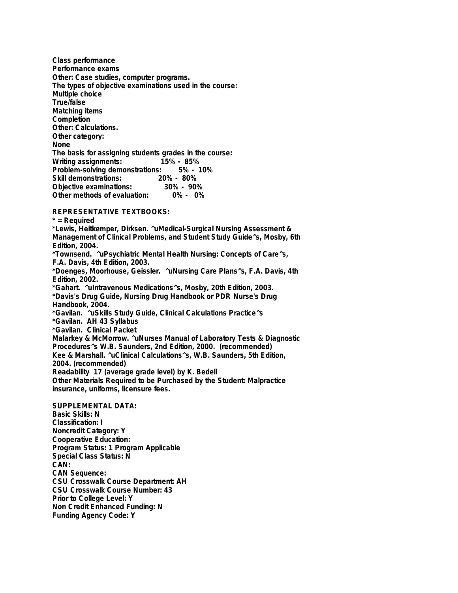**Class performance Performance exams Other: Case studies, computer programs. The types of objective examinations used in the course: Multiple choice True/false Matching items Completion Other: Calculations. Other category: None The basis for assigning students grades in the course: Writing assignments: 15% - 85% Problem-solving demonstrations: Skill demonstrations: 20% - 80% Objective examinations: 30% - 90% Other methods of evaluation:** 

**REPRESENTATIVE TEXTBOOKS:**

**\* = Required \*Lewis, Heitkemper, Dirksen. ^uMedical-Surgical Nursing Assessment & Management of Clinical Problems, and Student Study Guide^s, Mosby, 6th Edition, 2004. \*Townsend. ^uPsychiatric Mental Health Nursing: Concepts of Care^s, F.A. Davis, 4th Edition, 2003. \*Doenges, Moorhouse, Geissler. ^uNursing Care Plans^s, F.A. Davis, 4th Edition, 2002. \*Gahart. ^uIntravenous Medications^s, Mosby, 20th Edition, 2003. \*Davis's Drug Guide, Nursing Drug Handbook or PDR Nurse's Drug Handbook, 2004. \*Gavilan. ^uSkills Study Guide, Clinical Calculations Practice^s \*Gavilan. AH 43 Syllabus \*Gavilan. Clinical Packet Malarkey & McMorrow. ^uNurses Manual of Laboratory Tests & Diagnostic Procedures^s W.B. Saunders, 2nd Edition, 2000. (recommended) Kee & Marshall. ^uClinical Calculations^s, W.B. Saunders, 5th Edition, 2004. (recommended) Readability 17 (average grade level) by K. Bedell Other Materials Required to be Purchased by the Student: Malpractice insurance, uniforms, licensure fees.**

**SUPPLEMENTAL DATA: Basic Skills: N Classification: I Noncredit Category: Y Cooperative Education: Program Status: 1 Program Applicable Special Class Status: N CAN: CAN Sequence: CSU Crosswalk Course Department: AH CSU Crosswalk Course Number: 43 Prior to College Level: Y Non Credit Enhanced Funding: N Funding Agency Code: Y**